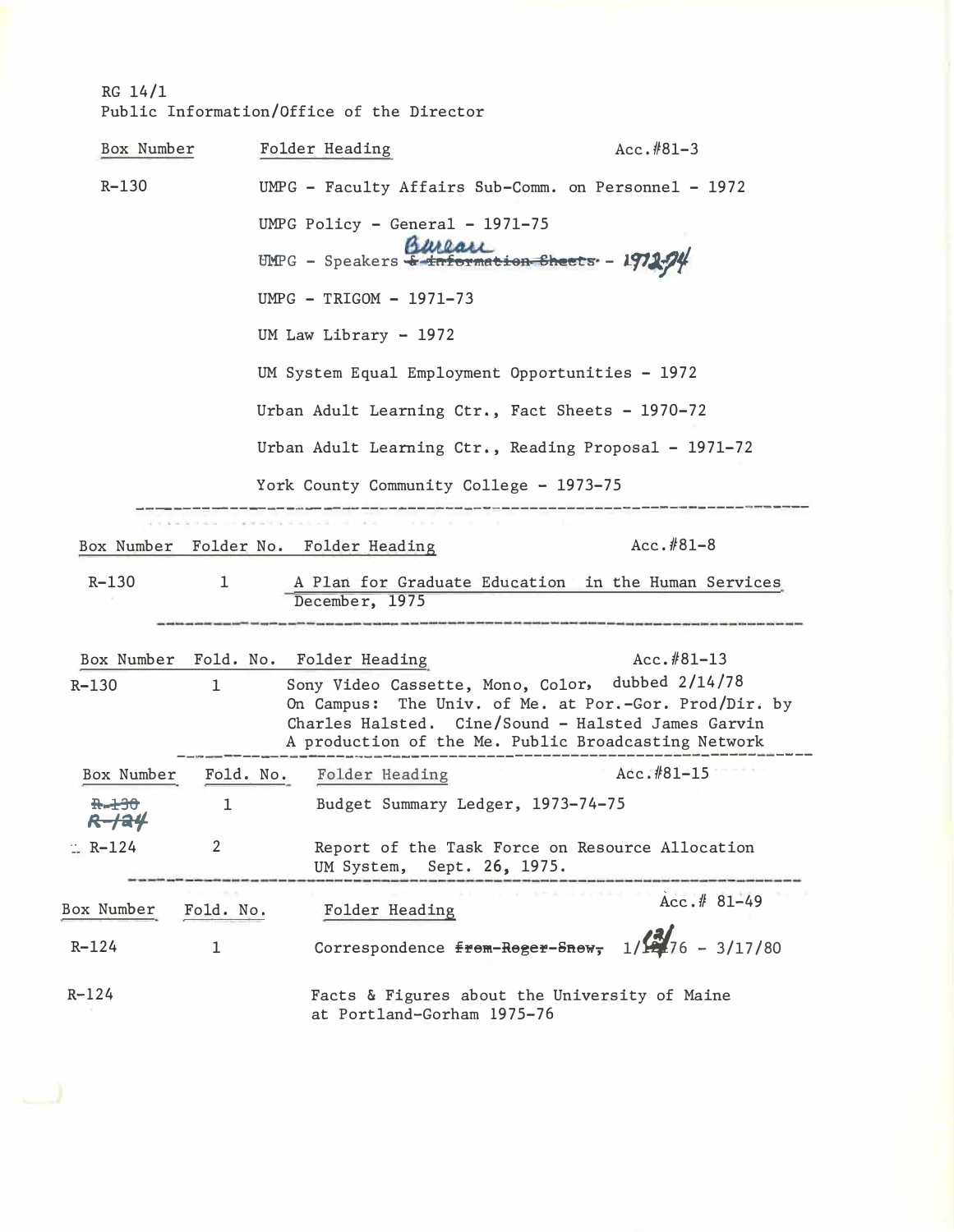# $RG 14/1$ Public Information/Office of the Director

| Box Number     |           | Folder Heading                                                                                                                                                                                                                 | $Acc. #81-3$                                                                                                                             |
|----------------|-----------|--------------------------------------------------------------------------------------------------------------------------------------------------------------------------------------------------------------------------------|------------------------------------------------------------------------------------------------------------------------------------------|
| $R - 130$      |           |                                                                                                                                                                                                                                | UMPG - Faculty Affairs Sub-Comm. on Personnel - 1972                                                                                     |
|                |           | UMPG Policy - General - $1971-75$                                                                                                                                                                                              |                                                                                                                                          |
|                |           | Bureau<br>UMPG - Speakers $\frac{1}{2}$ information Sheets - 1971-74                                                                                                                                                           |                                                                                                                                          |
|                |           | UMPG - TRIGOM - 1971-73                                                                                                                                                                                                        |                                                                                                                                          |
|                |           | UM Law Library $- 1972$                                                                                                                                                                                                        |                                                                                                                                          |
|                |           | UM System Equal Employment Opportunities - 1972                                                                                                                                                                                |                                                                                                                                          |
|                |           | Urban Adult Learning Ctr., Fact Sheets - 1970-72                                                                                                                                                                               |                                                                                                                                          |
|                |           |                                                                                                                                                                                                                                | Urban Adult Learning Ctr., Reading Proposal - 1971-72                                                                                    |
|                |           | York County Community College - 1973-75                                                                                                                                                                                        |                                                                                                                                          |
|                |           | the sense of the factor of the sense of the sense of the factor of the sense of the sense of the sense of the sense of the sense of the sense of the sense of the sense of the sense of the sense of the sense of the sense of |                                                                                                                                          |
|                |           | Box Number Folder No. Folder Heading                                                                                                                                                                                           | $Acc. #81-8$                                                                                                                             |
| $R - 130$      | ı         | December, 1975                                                                                                                                                                                                                 | A Plan for Graduate Education in the Human Services                                                                                      |
|                |           |                                                                                                                                                                                                                                | chan and they want there have then detail that over one deal and one does not then does not well and was seen and you want there was the |
| $R - 130$      | ı.        | Box Number Fold. No. Folder Heading                                                                                                                                                                                            | $Acc. #81-13$<br>Sony Video Cassette, Mono, Color, dubbed 2/14/78                                                                        |
|                |           |                                                                                                                                                                                                                                | On Campus: The Univ. of Me. at Por.-Gor. Prod/Dir. by                                                                                    |
|                |           |                                                                                                                                                                                                                                | Charles Halsted. Cine/Sound - Halsted James Garvin                                                                                       |
|                |           |                                                                                                                                                                                                                                | A production of the Me. Public Broadcasting Network                                                                                      |
| Box Number     |           | Fold. No. Folder Heading                                                                                                                                                                                                       | Acc.#81-15                                                                                                                               |
|                | 1         | Budget Summary Ledger, 1973-74-75                                                                                                                                                                                              |                                                                                                                                          |
| $\equiv$ R-124 | 2         | UM System, Sept. 26, 1975.                                                                                                                                                                                                     | Report of the Task Force on Resource Allocation                                                                                          |
| Box Number     | Fold. No. | Folder Heading                                                                                                                                                                                                                 | $Acc.$ # 81-49                                                                                                                           |
| $R - 124$      | 1         | Correspondence from-Roger-Snow,                                                                                                                                                                                                | $1/\frac{3}{276}$ - 3/17/80                                                                                                              |
| $R - 124$      |           | at Portland-Gorham 1975-76                                                                                                                                                                                                     | Facts & Figures about the University of Maine                                                                                            |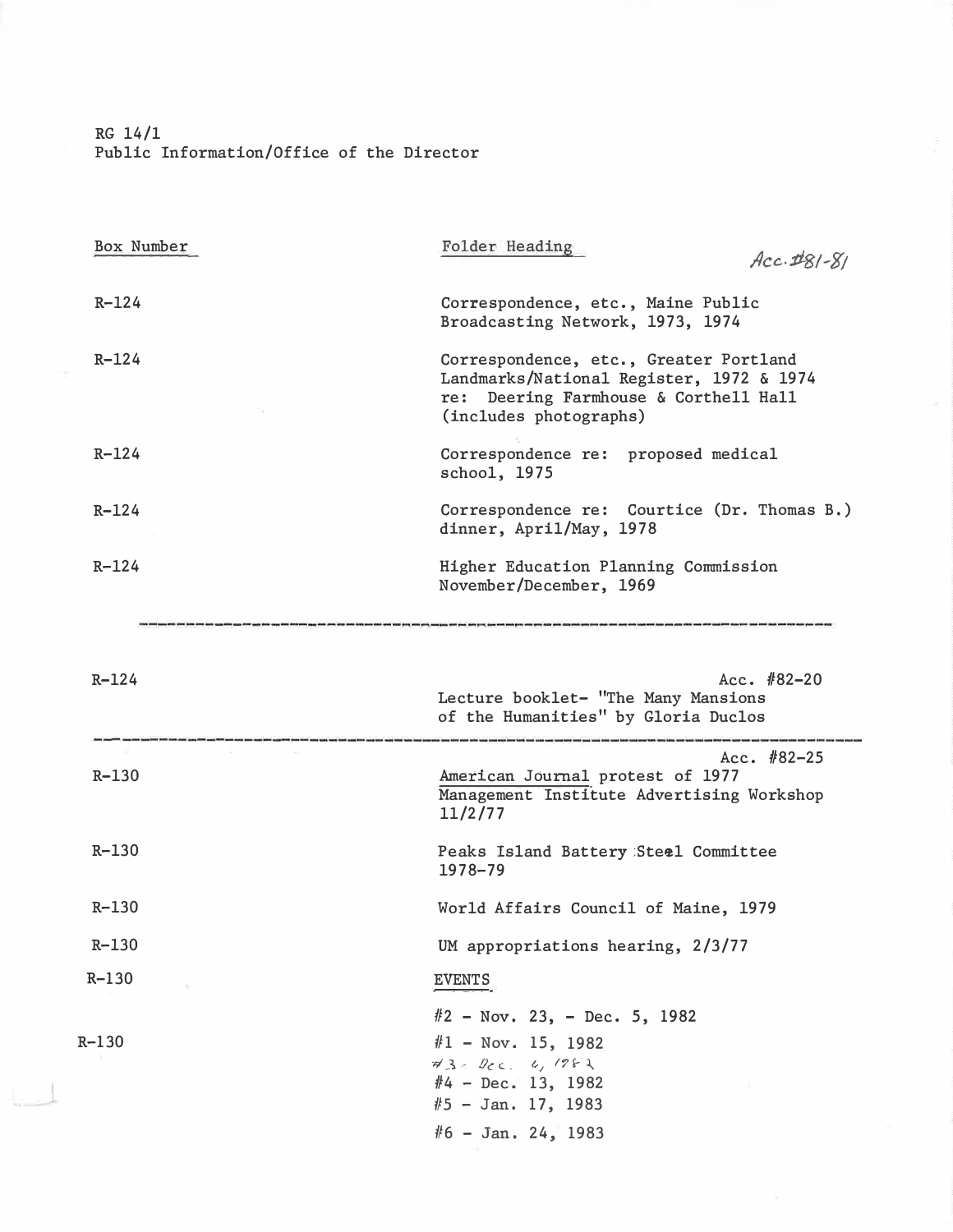RG 14/1 Public Information/Office of the Director

| $Acc.$ $#81-81$                                                                                                                                       |
|-------------------------------------------------------------------------------------------------------------------------------------------------------|
| Correspondence, etc., Maine Public<br>Broadcasting Network, 1973, 1974                                                                                |
| Correspondence, etc., Greater Portland<br>Landmarks/National Register, 1972 & 1974<br>re: Deering Farmhouse & Corthell Hall<br>(includes photographs) |
| Correspondence re: proposed medical<br>schoo1, 1975                                                                                                   |
| Correspondence re: Courtice (Dr. Thomas B.)<br>dinner, April/May, 1978                                                                                |
| Higher Education Planning Commission<br>November/December, 1969                                                                                       |
|                                                                                                                                                       |
| Acc. $#82-20$<br>Lecture booklet- "The Many Mansions<br>of the Humanities" by Gloria Duclos                                                           |
| Acc. $#82-25$<br>American Journal protest of 1977<br>Management Institute Advertising Workshop<br>11/2/77                                             |
| Peaks Island Battery Steel Committee<br>1978-79                                                                                                       |
| World Affairs Council of Maine, 1979                                                                                                                  |
| UM appropriations hearing, 2/3/77                                                                                                                     |
|                                                                                                                                                       |
| <b>EVENTS</b>                                                                                                                                         |
|                                                                                                                                                       |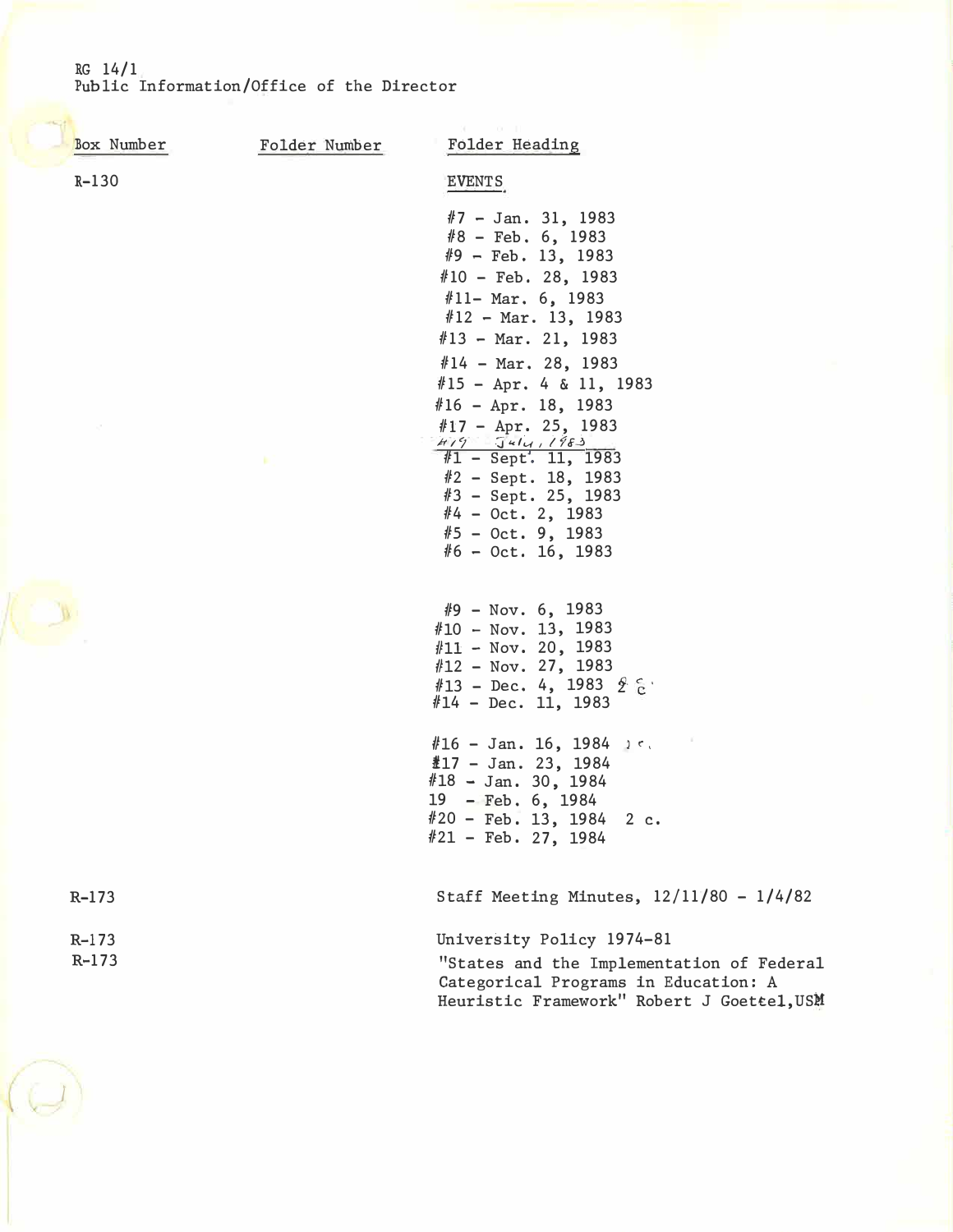## RG 14/1 Public Information/Office of the Director

| Box Number         | Folder Number | Folder Heading                                                                                                                                                                                |
|--------------------|---------------|-----------------------------------------------------------------------------------------------------------------------------------------------------------------------------------------------|
| $R-130$            |               | <b>EVENTS</b>                                                                                                                                                                                 |
|                    |               | $#7$ - Jan. 31, 1983<br>$#8$ – Feb. 6, 1983<br>$#9$ - Feb. 13, 1983<br>$#10$ - Feb. 28, 1983                                                                                                  |
|                    |               | $#11 - Mar. 6, 1983$<br>$#12$ - Mar. 13, 1983<br>$#13$ - Mar. 21, 1983                                                                                                                        |
|                    |               | $#14$ - Mar. 28, 1983<br>$#15 - Apr. 4 & 11, 1983$                                                                                                                                            |
|                    |               | $#16 - Apr. 18, 1983$<br>#17 - Apr. 25, 1983<br>$#1 - Sept. 11, 1983$<br>$#2$ – Sept. 18, 1983<br>$#3$ - Sept. 25, 1983<br>$#4 - Oct. 2, 1983$<br>$#5 - Oct. 9, 1983$<br>$#6 - Oct. 16, 1983$ |
|                    |               | $#9$ – Nov. 6, 1983<br>$#10 - Nov. 13, 1983$<br>$#11 - Now. 20, 1983$<br>$#12$ – Nov. 27, 1983<br>#13 - Dec. 4, 1983 $2^{\circ}$ 8<br>$#14$ - Dec. 11, 1983                                   |
|                    |               | $#16 - Jan. 16, 1984$<br>$\text{\#}17$ - Jan. 23, 1984<br>$#18 - Jan.$ 30, 1984<br>19 - Feb. 6, 1984<br>#20 - Feb. 13, 1984<br>2 c.<br>$#21$ - Feb. 27, 1984                                  |
| $R-173$            |               | Staff Meeting Minutes, $12/11/80 - 1/4/82$                                                                                                                                                    |
| $R-173$<br>$R-173$ |               | University Policy 1974-81<br>"States and the Implementation of Federal<br>Categorical Programs in Education: A<br>Heuristic Framework" Robert J Goettel, USM                                  |
|                    |               |                                                                                                                                                                                               |

*J*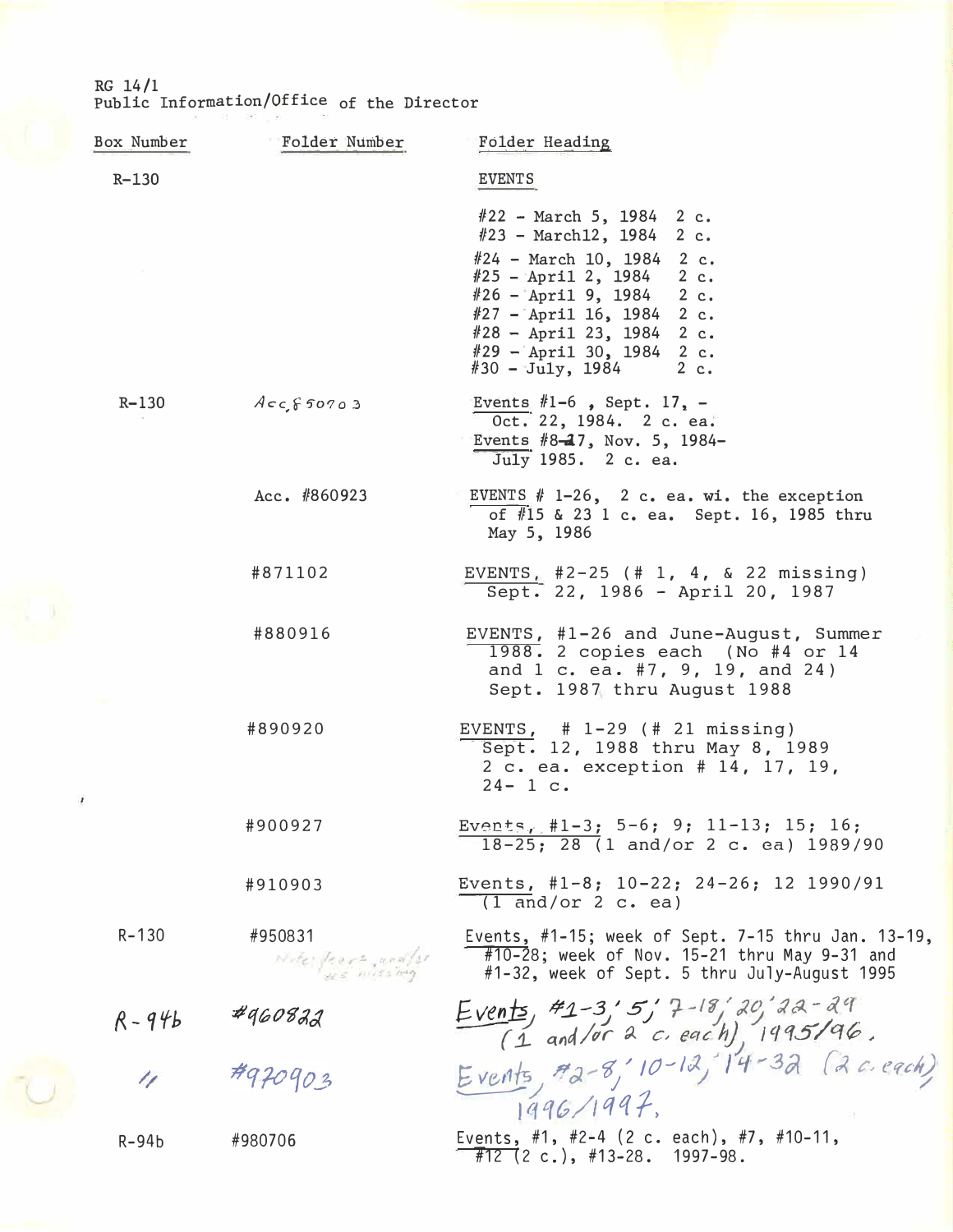RG 14/1 Public Information/Office of the Director

| Box Number | Folder Number                 | Folder Heading                                                                                                                                                                                                                                                                      |
|------------|-------------------------------|-------------------------------------------------------------------------------------------------------------------------------------------------------------------------------------------------------------------------------------------------------------------------------------|
| $R - 130$  |                               | <b>EVENTS</b>                                                                                                                                                                                                                                                                       |
|            |                               | $#22$ - March 5, 1984 2 c.<br>$#23$ - March12, 1984 2 c.<br>$#24$ – March 10, 1984 2 c.<br>$#25$ - April 2, 1984 2 c.<br>$#26$ - April 9, 1984 2 c.<br>$#27$ - April 16, 1984 2 c.<br>$#28 - April 23, 1984 2 c.$<br>$#29$ - April 30, 1984 2 c.<br>$\#30 - \text{July}, 1984$ 2 c. |
| R-130      | $Acc$ $60703$                 | Events #1-6, Sept. $17. -$<br>Oct. 22, 1984. 2 c. ea.<br>Events $#8-17$ , Nov. 5, 1984-<br>July 1985. 2 c. ea.                                                                                                                                                                      |
|            | Acc. $#860923$                | EVENTS $# 1-26$ , 2 c. ea. wi. the exception<br>of #15 & 23 1 c. ea. Sept. 16, 1985 thru<br>May 5, 1986                                                                                                                                                                             |
|            | #871102                       | EVENTS, $#2-25$ (# 1, 4, & 22 missing)<br>Sept. 22, 1986 - April 20, 1987                                                                                                                                                                                                           |
|            | #880916                       | EVENTS, #1-26 and June-August, Summer<br>1988. 2 copies each (No #4 or 14<br>and 1 c. ea. #7, 9, 19, and 24)<br>Sept. 1987 thru August 1988                                                                                                                                         |
| ŗ          | #890920                       | EVENTS, $# 1-29$ ( $# 21$ missing)<br>Sept. 12, 1988 thru May 8, 1989<br>2 c. ea. exception # 14, 17, 19,<br>$24 - 1 c.$                                                                                                                                                            |
|            | #900927                       | Events, #1-3; 5-6; 9; 11-13; 15; 16;<br>$18-25$ ; 28 (1 and/or 2 c. ea) 1989/90                                                                                                                                                                                                     |
|            | #910903                       | Events, #1-8; $10-22$ ; $24-26$ ; 12 1990/91<br>$(1$ and/or 2 c. ea)                                                                                                                                                                                                                |
| $R - 130$  | #950831<br>Note frore and for | Events, #1-15; week of Sept. 7-15 thru Jan. 13-19,<br>$\sqrt{\frac{410-28}}$ ; week of Nov. 15-21 thru May 9-31 and<br>#1-32, week of Sept. 5 thru July-August 1995                                                                                                                 |
| $R - 946$  | 4960822                       | Events, #1-3'5' 7-18'20'22-29<br>(1 and/or 2 c. each), 1995/96.<br>Events, #2-8' 10-12, 14-32 (2 c. each)                                                                                                                                                                           |
| 11         | #970903                       | 1996/1997                                                                                                                                                                                                                                                                           |
| $R-94b$    | #980706                       | Events, #1, #2-4 (2 c. each), #7, #10-11,<br>$\overline{\#12}$ (2 c.), #13-28. 1997-98.                                                                                                                                                                                             |
|            |                               |                                                                                                                                                                                                                                                                                     |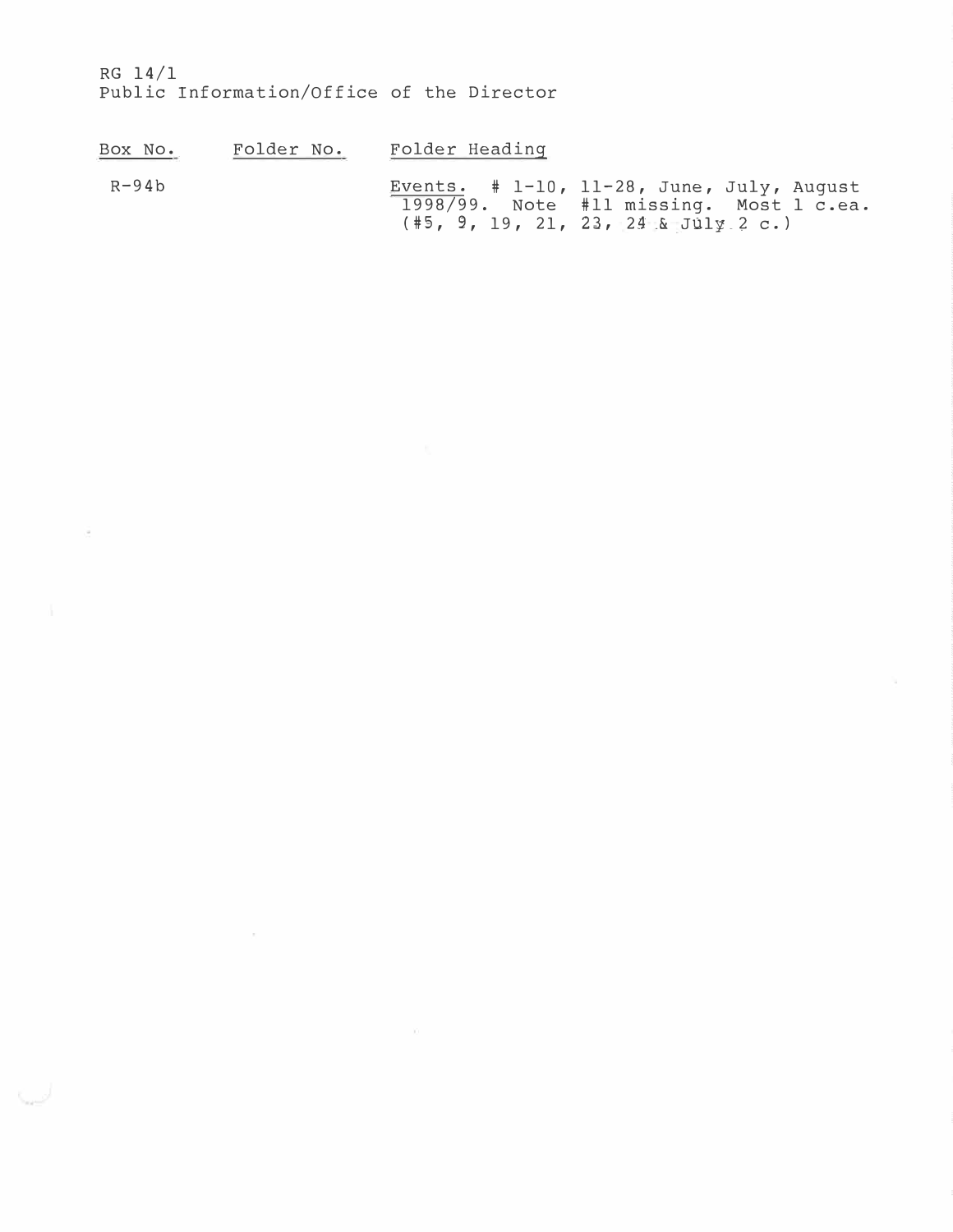RG **14/1**  Public Information/Office of the Director

 $\alpha$ 

| Box No. | Folder No. | Folder Heading |                                                                                                                                   |
|---------|------------|----------------|-----------------------------------------------------------------------------------------------------------------------------------|
| $R-94b$ |            |                | Events. $# 1-10$ , 11-28, June, July, August<br>1998/99. Note #11 missing. Most 1 c.ea.<br>$(\#5, 9, 19, 21, 23, 24.8$ July 2 c.) |

 $\sim 10$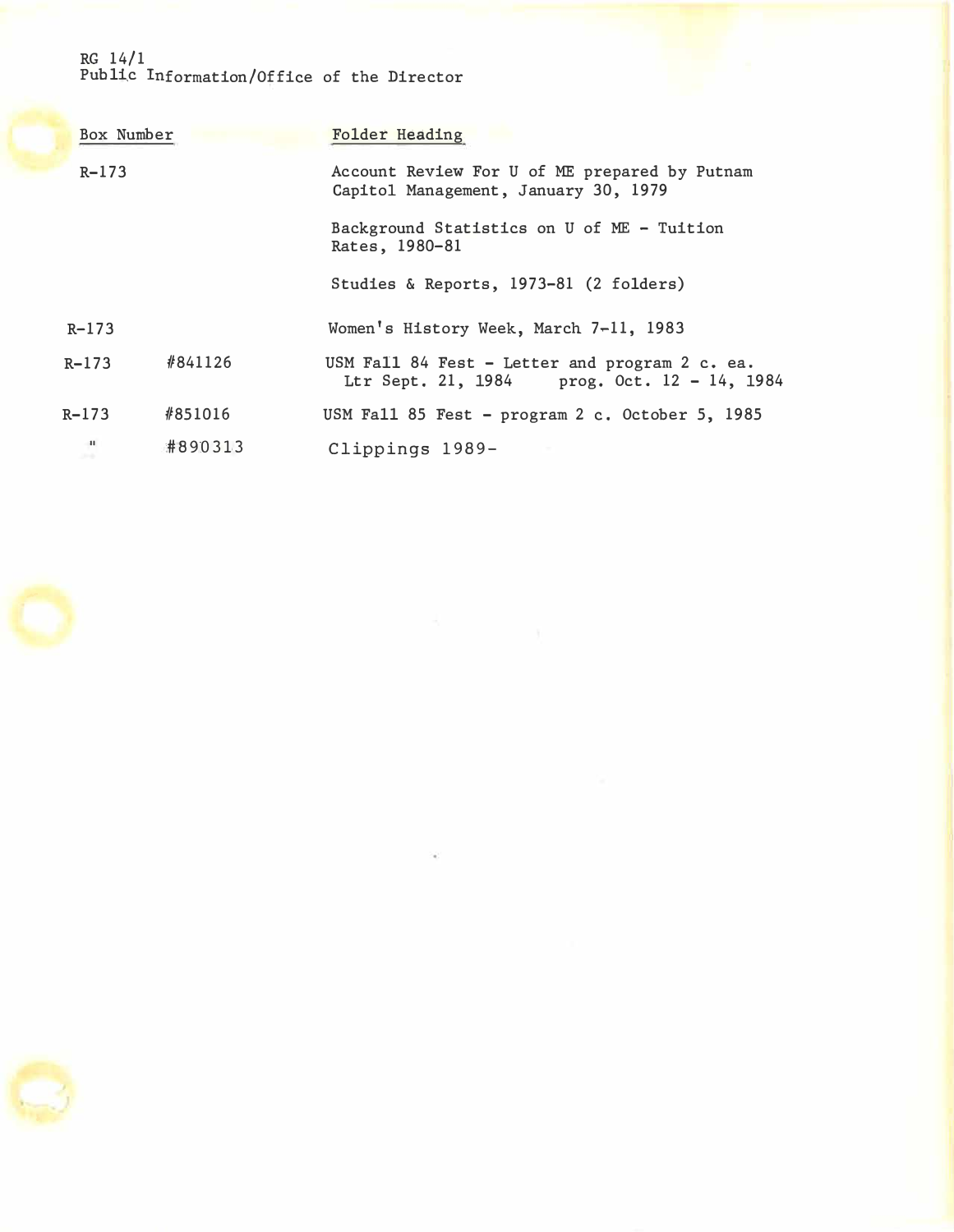## RG 14/1 Publi.c Information/Office of the Director

| Box Number                      |         | Folder Heading                                                                                |
|---------------------------------|---------|-----------------------------------------------------------------------------------------------|
| $R - 173$                       |         | Account Review For U of ME prepared by Putnam<br>Capitol Management, January 30, 1979         |
|                                 |         | Background Statistics on U of ME - Tuition<br>Rates, 1980-81                                  |
|                                 |         | Studies & Reports, 1973-81 (2 folders)                                                        |
| $R - 173$                       |         | Women's History Week, March 7-11, 1983                                                        |
| $R - 173$                       | #841126 | USM Fall 84 Fest - Letter and program 2 c. ea.<br>Ltr Sept. 21, 1984 prog. Oct. 12 - 14, 1984 |
| $R - 173$                       | #851016 | USM Fall 85 Fest - program 2 c. October 5, 1985                                               |
| $\mathbf{H}$<br><b>CONTRACT</b> | #890313 | Clippings 1989-                                                                               |



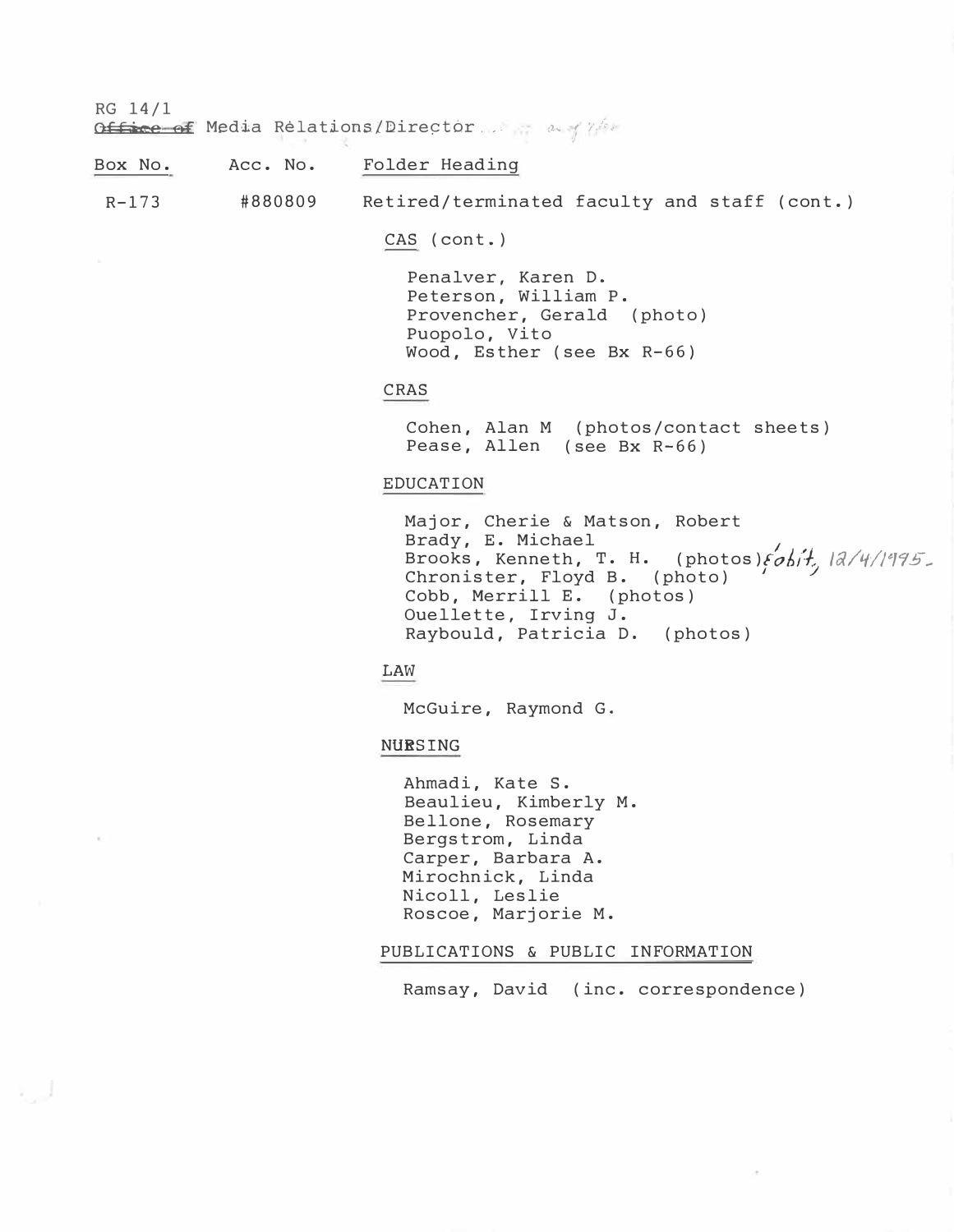RG 14/1

OU4ce e-f Media Relations /Dire�t6r . \_. **(1,..; ,** i'. �:� �· *J* 

Box No. Acc. No. Folder Heading

R-173 #880809 Retired/terminated faculty and staff (cont.)

CAS (cont.)

Penalver, Karen D. Peterson, William P. Provencher, Gerald (photo) Puopolo, Vito Wood, Esther (see Bx R-66)

### CRAS

Cohen, Alan M (photos/contact sheets) Pease, Allen (see Bx R-66)

### EDUCATION

Major, Cherie & Matson, Robert<br>Brady, E. Michael Brady, E. Michael<br>Brooks Kenneth T H (photos)*Sali<sup>l</sup> 12/* Brooks, Kenneth, T. H. (photos) $\{objt, |d/4|/|995\}$ Chronister, Floyd B. (photo) Cobb, Merrill E. (photos) Ouellette, Irving J. Raybould, Patricia D. (photos)

**LAW** 

McGuire, Raymond G.

**NURSING** 

Ahmadi, Kate S. Beaulieu, Kimberly M. Bellone, Rosemary Bergstrom, Linda Carper, Barbara A. Mirochnick, Linda Nicoll, Leslie Roscoe, Marjorie M.

#### PUBLICATIONS & PUBLIC INFORMATION

Ramsay, David (inc. correspondence)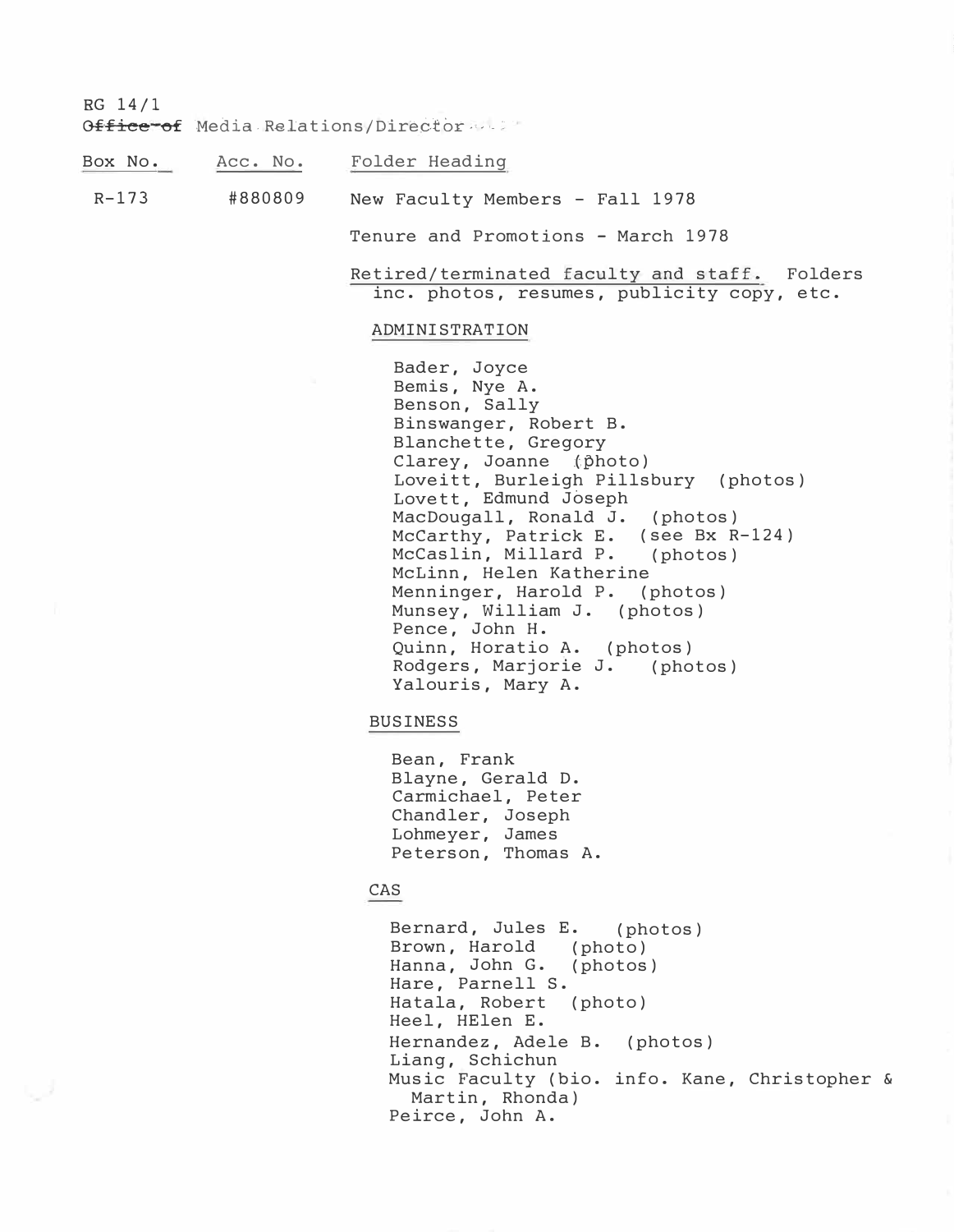RG 14/1

Gffice of Media Relations/Director ...

Box No. Acc. No. Folder Heading

R-173 #880809 New Faculty Members - Fall 1978

Tenure and Promotions - March 1978

Retired/terminated faculty and staff. Folders inc. photos, resumes, publicity copy, etc.

#### ADMINISTRATION

Bader, Joyce Bemis, Nye A. Benson, Sally Binswanger, Robert B. Blanchette, Gregory Clarey, Joanne (photo) Loveitt, Burleigh Pillsbury (photos) Lovett, Edmund Joseph MacDougall, Ronald J. (photos) McCarthy, Patrick E. (see Bx R-124)<br>McCaslin, Millard P. (photos) McCaslin, Millard P. McLinn, Helen Katherine Menninger, Harold P. (photos) Munsey, William J. (photos) Pence, John H. Quinn, Horatio A. (photos) Rodgers, Marjorie J. (photos) Yalouris, Mary A.

#### BUSINESS

Bean, Frank Blayne, Gerald D. Carmichael, Peter Chandler, Joseph Lohmeyer, James Peterson, Thomas A.

## CAS

Bernard, Jules E. (photos) Brown, Harold (photo) Hanna, John G. (photos) Hare, Parnell S.<br>Hatala, Robert (photo) Hatala, Robert Heel, HElen E. Hernandez, Adele B. (photos) Liang, Schichun Music Faculty (bio. info. Kane, Christopher & Martin, Rhonda) Peirce, John A.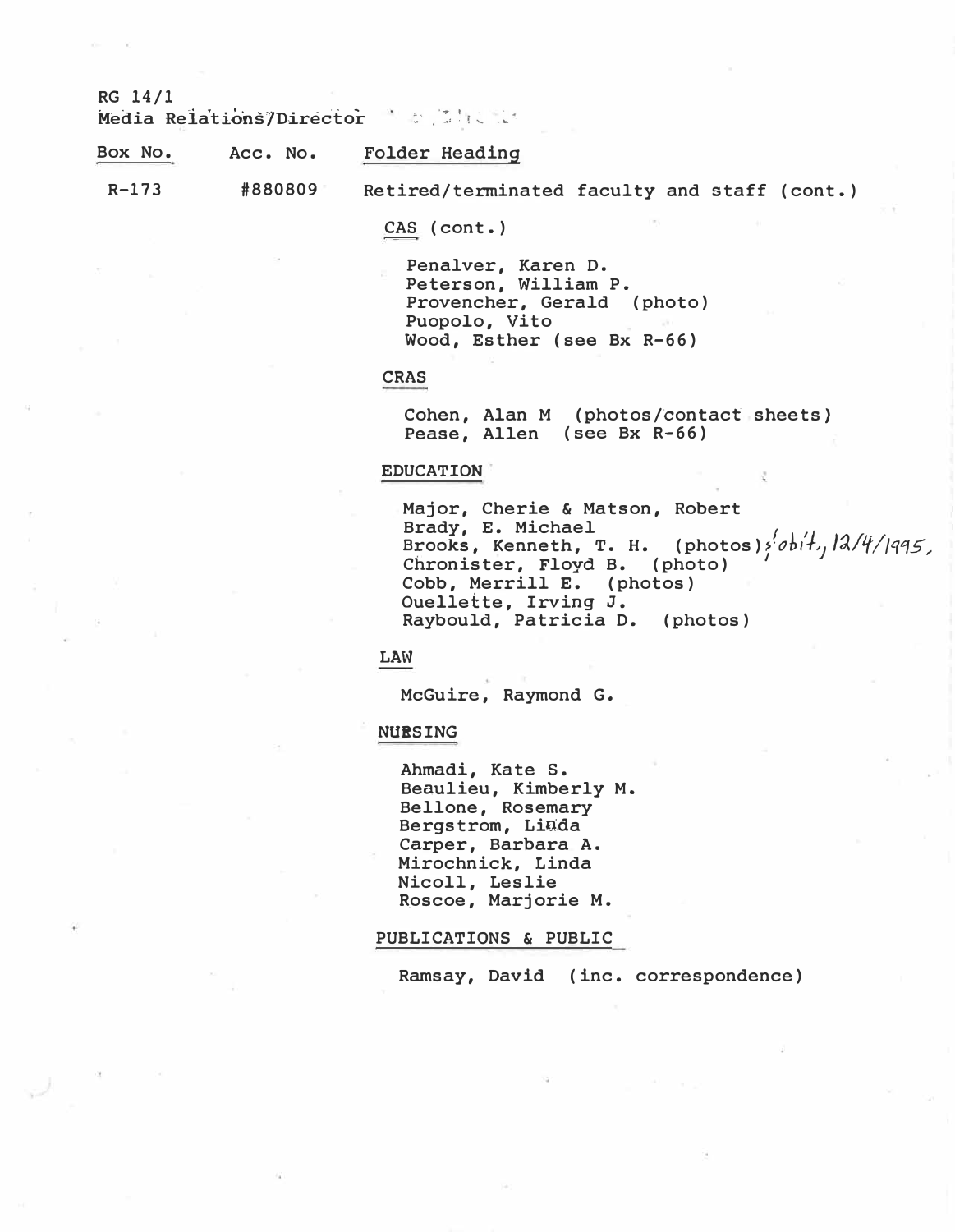RG 14/1

**Media Relations/Director and the last of the set of the set of the set of the set of the set of the set of the set of the set of the set of the set of the set of the set of the set of the set of the set of the set of th** 

| Box No. | Acc. No. | Folder Heading                               |  |  |
|---------|----------|----------------------------------------------|--|--|
| R-173   | #880809  | Retired/terminated faculty and staff (cont.) |  |  |

CAS (cont.)

Penalver, Karen D. Peterson, William P. Provencher, Gerald (photo) Puopolo, Vito Wood, Esther (see Bx R-66)

#### **CRAS**

Cohen, Alan M (photos/�ontact sheets} Pease, Allen (see Bx R-66)

#### **EDUCATION**

Major, Cherie & Matson, Robert<br>Brady, E. Michael Brooks, Kenneth, T. H. (photos)<sup>{</sup>obit,  $\frac{12}{495}$ Chronister, Floyd B. (photo) Cobb, Merrill E. (photos) Ouellette, Irving J. Raybould, Patricia D. (photos)

**LAW** 

McGuire, Raymond G.

**NURSING** 

Ahmadi, Kate S. Beaulieu, Kimberly M. Bellone, Rosemary Bergstrom, Linda Carper, Barbara A. Mirochnick, Linda Nicoll, Leslie Roscoe, Marjorie M.

#### PUBLICATIONS & PUBLIC

Ramsay, David (inc. correspondence)